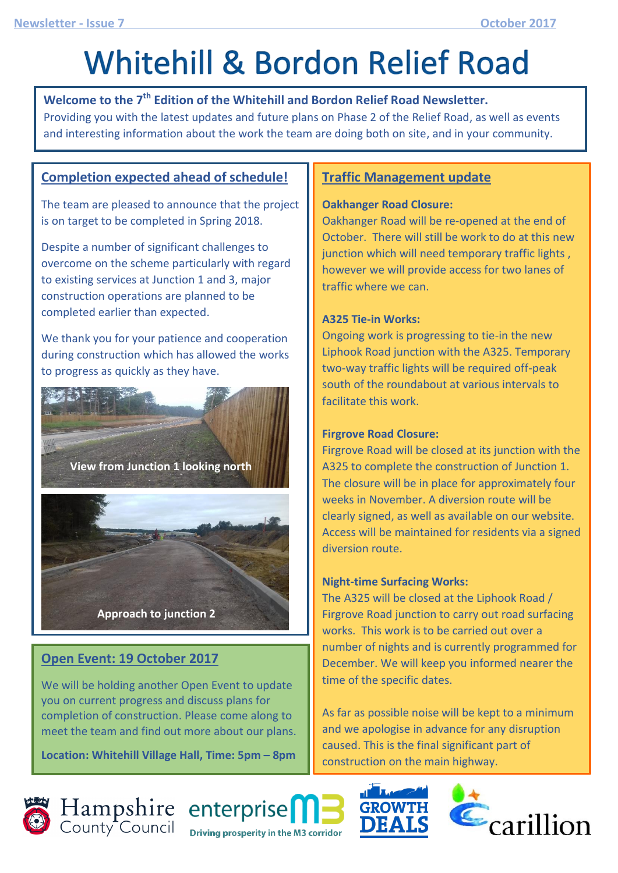# **Whitehill & Bordon Relief Road**

**Welcome to the 7th Edition of the Whitehill and Bordon Relief Road Newsletter.**  Providing you with the latest updates and future plans on Phase 2 of the Relief Road, as well as events and interesting information about the work the team are doing both on site, and in your community.

#### **Completion expected ahead of schedule!**

The team are pleased to announce that the project is on target to be completed in Spring 2018.

Despite a number of significant challenges to overcome on the scheme particularly with regard to existing services at Junction 1 and 3, major construction operations are planned to be completed earlier than expected.

We thank you for your patience and cooperation during construction which has allowed the works to progress as quickly as they have.



#### **Open Event: 19 October 2017**

We will be holding another Open Event to update you on current progress and discuss plans for completion of construction. Please come along to meet the team and find out more about our plans.

**Location: Whitehill Village Hall, Time: 5pm – 8pm**

#### **Traffic Management update**

#### **Oakhanger Road Closure:**

Oakhanger Road will be re-opened at the end of October. There will still be work to do at this new junction which will need temporary traffic lights , however we will provide access for two lanes of traffic where we can.

#### **A325 Tie-in Works:**

Ongoing work is progressing to tie-in the new Liphook Road junction with the A325. Temporary two-way traffic lights will be required off-peak south of the roundabout at various intervals to facilitate this work.

#### **Firgrove Road Closure:**

Firgrove Road will be closed at its junction with the A325 to complete the construction of Junction 1. The closure will be in place for approximately four weeks in November. A diversion route will be clearly signed, as well as available on our website. Access will be maintained for residents via a signed diversion route.

#### **Night-time Surfacing Works:**

The A325 will be closed at the Liphook Road / Firgrove Road junction to carry out road surfacing works. This work is to be carried out over a number of nights and is currently programmed for December. We will keep you informed nearer the time of the specific dates.

As far as possible noise will be kept to a minimum and we apologise in advance for any disruption caused. This is the final significant part of construction on the main highway.